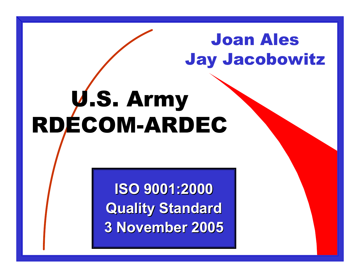# Joan Ales Jay Jacobowitz

# U.S. Army RDECOM-ARDEC

**ISO 9001:2000 Quality Standard 3 November 2005**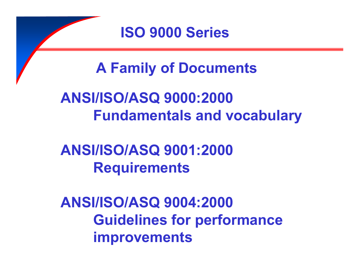

**A Family of Documents**

**ANSI/ISO/ASQ 9000:2000 Fundamentals and vocabulary**

**ANSI/ISO/ASQ 9001:2000 Requirements**

**ANSI/ISO/ASQ 9004:2000 Guidelines for performance improvements**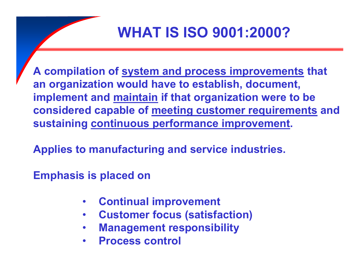## **WHAT IS ISO 9001:2000?**

**A compilation of system and process improvements that an organization would have to establish, document, implement and maintain if that organization were to be considered capable of meeting customer requirements and sustaining continuous performance improvement.**

**Applies to manufacturing and service industries.**

**Emphasis is placed on**

- •**Continual improvement**
- $\bullet$ **Customer focus (satisfaction)**
- •**Management responsibility**
- •**Process control**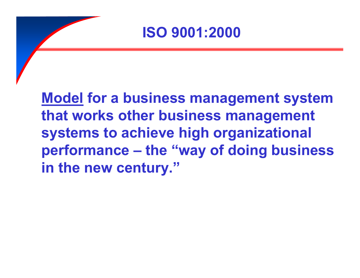

**Model for a business management system that works other business management systems to achieve high organizational performance – the "way of doing business in the new century."**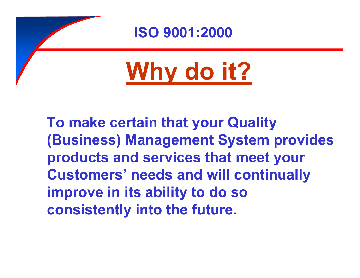

**To make certain that your Quality (Business) Management System provides products and services that meet your Customers' needs and will continually improve in its ability to do so consistently into the future.**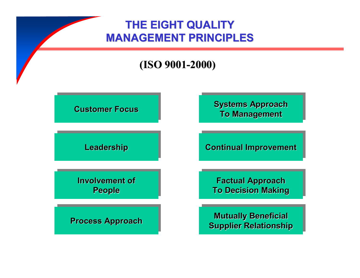### **THE EIGHT QUALITY MANAGEMENT PRINCIPLES**

#### **(ISO 9001-2000)**

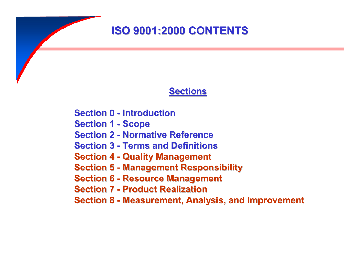### **ISO 9001:2000 CONTENTS**

#### **Sections**

**Section 0 - Introduction**

**Section 1 - Scope**

**Section 2 - Normative Reference**

**Section 3 - Terms and Definitions**

**Section 4 - Quality Management**

**Section 5 - Management Responsibility**

**Section 6 - Resource Management**

**Section 7 - Product Realization**

**Section 8 - Measurement, Analysis, and Improvement**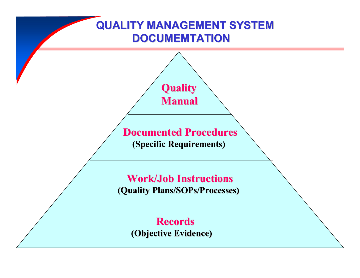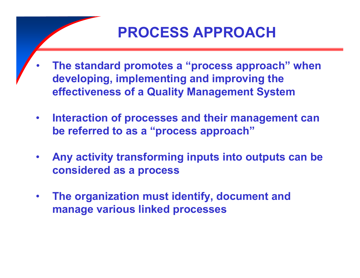## **PROCESS APPROACH**

- • **The standard promotes <sup>a</sup> "process approach" when developing, implementing and improving the effectiveness of <sup>a</sup> Quality Management System**
- $\bullet$  **Interaction of processes and their management can be referred to as <sup>a</sup> "process approach"**
- • **Any activity transforming inputs into outputs can be considered as a process**
- $\bullet$  **The organization must identify, document and manage various linked processes**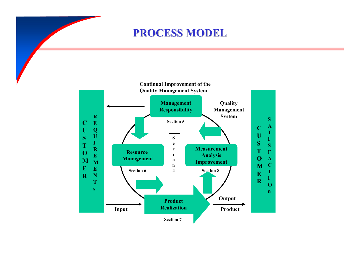#### **PROCESS MODEL**

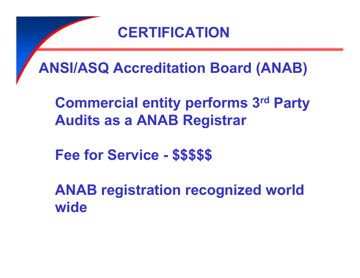### **CERTIFICATION**

**ANSI/ASQ Accreditation Board (ANAB)**

**Commercial entity performs 3rd Party Audits as a ANAB Registrar**

**Fee for Service - \$\$\$\$\$**

**ANAB registration recognized world wide**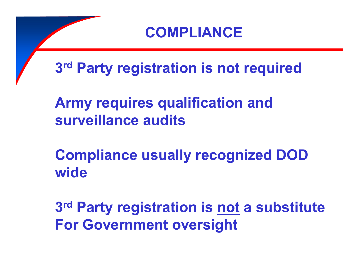

**Compliance usually recognized DOD wide**

**3rd Party registration is not <sup>a</sup> substitute For Government oversight**